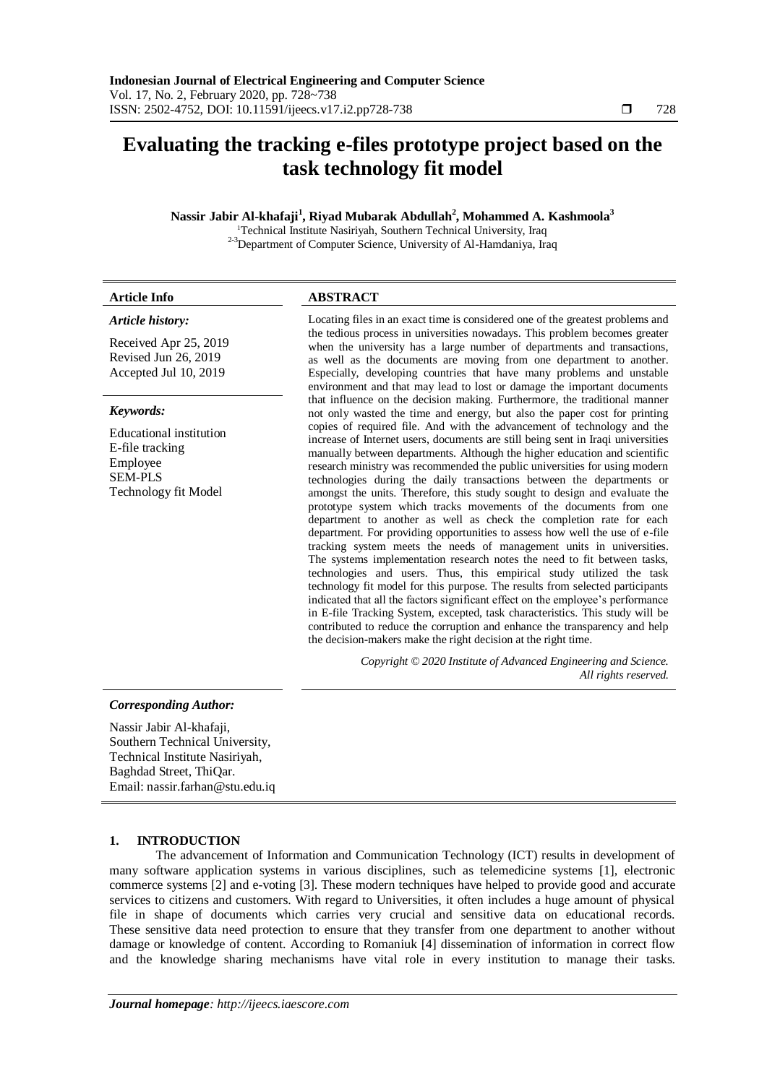# **Evaluating the tracking e-files prototype project based on the task technology fit model**

## **Nassir Jabir Al-khafaji<sup>1</sup> , Riyad Mubarak Abdullah<sup>2</sup> , Mohammed A. Kashmoola<sup>3</sup>**

<sup>1</sup>Technical Institute Nasiriyah, Southern Technical University, Iraq 2-3Department of Computer Science, University of Al-Hamdaniya, Iraq

| <b>Article Info</b>                                                                                     | <b>ABSTRACT</b>                                                                                                                                                                                                                                                                                                                                                                                                                                                                |
|---------------------------------------------------------------------------------------------------------|--------------------------------------------------------------------------------------------------------------------------------------------------------------------------------------------------------------------------------------------------------------------------------------------------------------------------------------------------------------------------------------------------------------------------------------------------------------------------------|
| Article history:                                                                                        | Locating files in an exact time is considered one of the greatest problems and                                                                                                                                                                                                                                                                                                                                                                                                 |
| Received Apr 25, 2019<br>Revised Jun 26, 2019<br>Accepted Jul 10, 2019                                  | the tedious process in universities nowadays. This problem becomes greater<br>when the university has a large number of departments and transactions,<br>as well as the documents are moving from one department to another.<br>Especially, developing countries that have many problems and unstable<br>environment and that may lead to lost or damage the important documents                                                                                               |
| Keywords:                                                                                               | that influence on the decision making. Furthermore, the traditional manner<br>not only wasted the time and energy, but also the paper cost for printing                                                                                                                                                                                                                                                                                                                        |
| Educational institution<br>E-file tracking<br>Employee<br><b>SEM-PLS</b><br><b>Technology fit Model</b> | copies of required file. And with the advancement of technology and the<br>increase of Internet users, documents are still being sent in Iraqi universities<br>manually between departments. Although the higher education and scientific<br>research ministry was recommended the public universities for using modern<br>technologies during the daily transactions between the departments or<br>amongst the units. Therefore, this study sought to design and evaluate the |

prototype system which tracks movements of the documents from one department to another as well as check the completion rate for each department. For providing opportunities to assess how well the use of e-file tracking system meets the needs of management units in universities. The systems implementation research notes the need to fit between tasks, technologies and users. Thus, this empirical study utilized the task technology fit model for this purpose. The results from selected participants indicated that all the factors significant effect on the employee's performance in E-file Tracking System, excepted, task characteristics. This study will be contributed to reduce the corruption and enhance the transparency and help

*Copyright © 2020 Institute of Advanced Engineering and Science.* 

*All rights reserved.*

the decision-makers make the right decision at the right time.

## *Corresponding Author:*

Nassir Jabir Al-khafaji, Southern Technical University, Technical Institute Nasiriyah, Baghdad Street, ThiQar. Email: nassir.farhan@stu.edu.iq

### **1. INTRODUCTION**

The advancement of Information and Communication Technology (ICT) results in development of many software application systems in various disciplines, such as telemedicine systems [1], electronic commerce systems [2] and e-voting [3]. These modern techniques have helped to provide good and accurate services to citizens and customers. With regard to Universities, it often includes a huge amount of physical file in shape of documents which carries very crucial and sensitive data on educational records. These sensitive data need protection to ensure that they transfer from one department to another without damage or knowledge of content. According to Romaniuk [4] dissemination of information in correct flow and the knowledge sharing mechanisms have vital role in every institution to manage their tasks.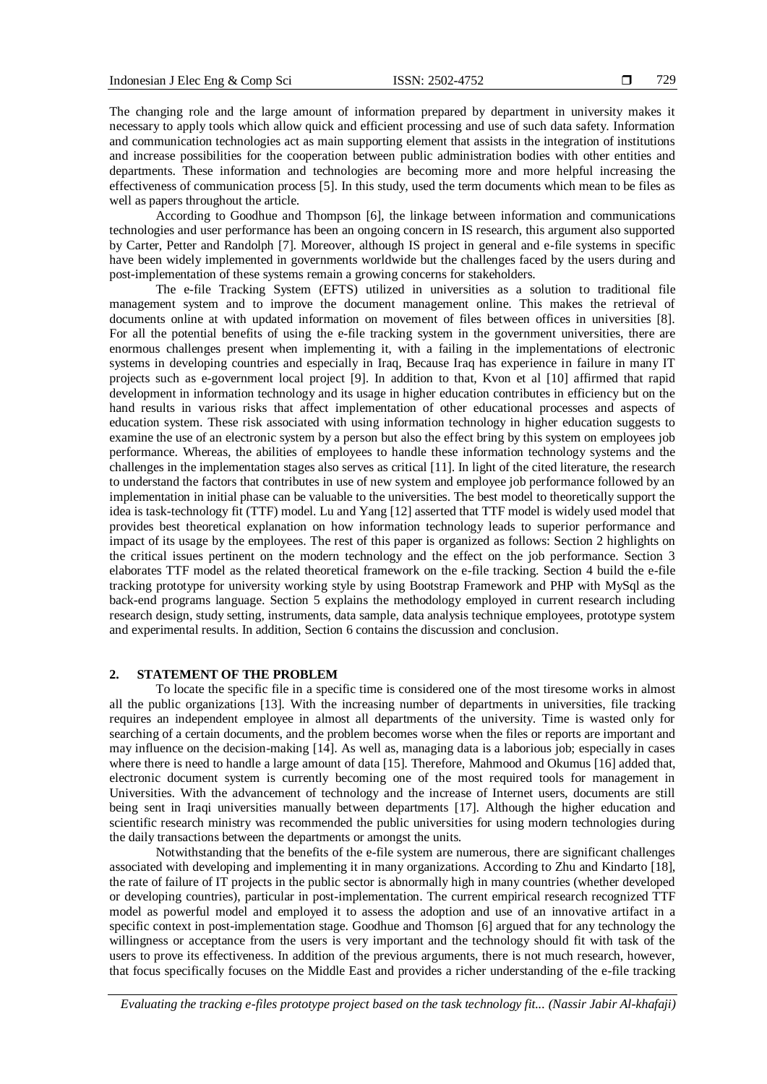The changing role and the large amount of information prepared by department in university makes it necessary to apply tools which allow quick and efficient processing and use of such data safety. Information and communication technologies act as main supporting element that assists in the integration of institutions and increase possibilities for the cooperation between public administration bodies with other entities and departments. These information and technologies are becoming more and more helpful increasing the effectiveness of communication process [5]. In this study, used the term documents which mean to be files as well as papers throughout the article.

According to Goodhue and Thompson [6], the linkage between information and communications technologies and user performance has been an ongoing concern in IS research, this argument also supported by Carter, Petter and Randolph [7]. Moreover, although IS project in general and e-file systems in specific have been widely implemented in governments worldwide but the challenges faced by the users during and post-implementation of these systems remain a growing concerns for stakeholders.

The e-file Tracking System (EFTS) utilized in universities as a solution to traditional file management system and to improve the document management online. This makes the retrieval of documents online at with updated information on movement of files between offices in universities [8]. For all the potential benefits of using the e-file tracking system in the government universities, there are enormous challenges present when implementing it, with a failing in the implementations of electronic systems in developing countries and especially in Iraq, Because Iraq has experience in failure in many IT projects such as e-government local project [9]. In addition to that, Kvon et al [10] affirmed that rapid development in information technology and its usage in higher education contributes in efficiency but on the hand results in various risks that affect implementation of other educational processes and aspects of education system. These risk associated with using information technology in higher education suggests to examine the use of an electronic system by a person but also the effect bring by this system on employees job performance. Whereas, the abilities of employees to handle these information technology systems and the challenges in the implementation stages also serves as critical [11]. In light of the cited literature, the research to understand the factors that contributes in use of new system and employee job performance followed by an implementation in initial phase can be valuable to the universities. The best model to theoretically support the idea is task-technology fit (TTF) model. Lu and Yang [12] asserted that TTF model is widely used model that provides best theoretical explanation on how information technology leads to superior performance and impact of its usage by the employees. The rest of this paper is organized as follows: Section 2 highlights on the critical issues pertinent on the modern technology and the effect on the job performance. Section 3 elaborates TTF model as the related theoretical framework on the e-file tracking. Section 4 build the e-file tracking prototype for university working style by using Bootstrap Framework and PHP with MySql as the back-end programs language. Section 5 explains the methodology employed in current research including research design, study setting, instruments, data sample, data analysis technique employees, prototype system and experimental results. In addition, Section 6 contains the discussion and conclusion.

#### **2. STATEMENT OF THE PROBLEM**

To locate the specific file in a specific time is considered one of the most tiresome works in almost all the public organizations [13]. With the increasing number of departments in universities, file tracking requires an independent employee in almost all departments of the university. Time is wasted only for searching of a certain documents, and the problem becomes worse when the files or reports are important and may influence on the decision-making [14]. As well as, managing data is a laborious job; especially in cases where there is need to handle a large amount of data [15]. Therefore, Mahmood and Okumus [16] added that, electronic document system is currently becoming one of the most required tools for management in Universities. With the advancement of technology and the increase of Internet users, documents are still being sent in Iraqi universities manually between departments [17]. Although the higher education and scientific research ministry was recommended the public universities for using modern technologies during the daily transactions between the departments or amongst the units.

Notwithstanding that the benefits of the e-file system are numerous, there are significant challenges associated with developing and implementing it in many organizations. According to Zhu and Kindarto [18], the rate of failure of IT projects in the public sector is abnormally high in many countries (whether developed or developing countries), particular in post-implementation. The current empirical research recognized TTF model as powerful model and employed it to assess the adoption and use of an innovative artifact in a specific context in post-implementation stage. Goodhue and Thomson [6] argued that for any technology the willingness or acceptance from the users is very important and the technology should fit with task of the users to prove its effectiveness. In addition of the previous arguments, there is not much research, however, that focus specifically focuses on the Middle East and provides a richer understanding of the e-file tracking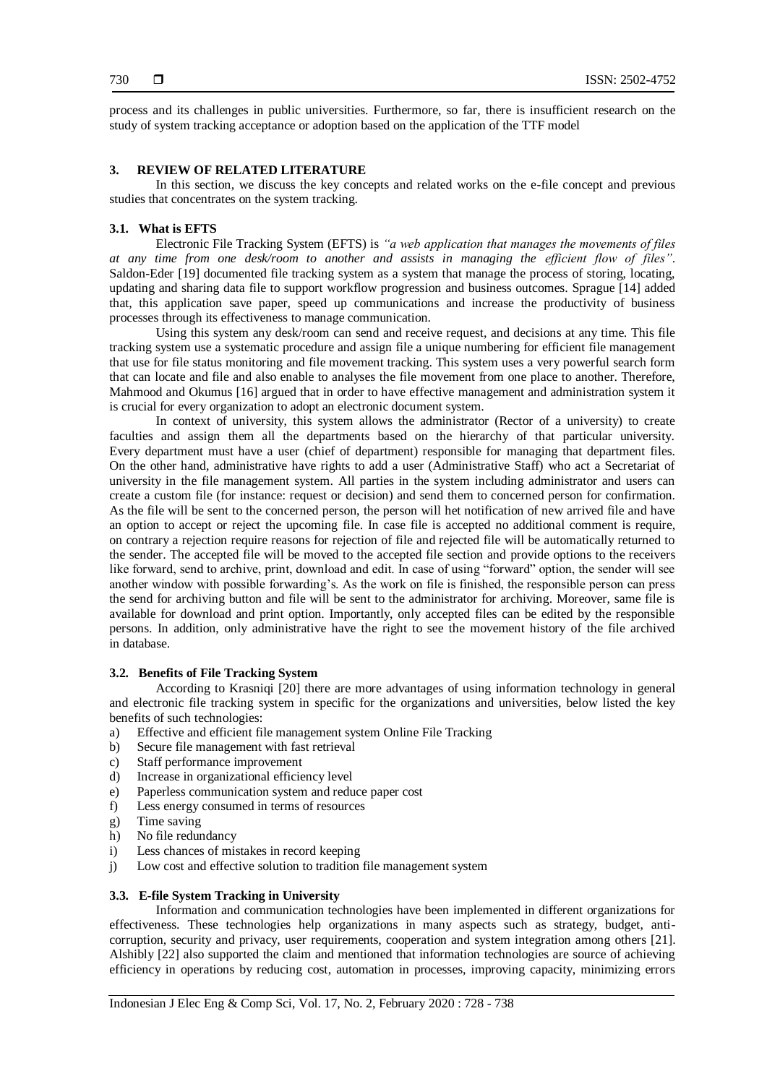process and its challenges in public universities. Furthermore, so far, there is insufficient research on the study of system tracking acceptance or adoption based on the application of the TTF model

#### **3. REVIEW OF RELATED LITERATURE**

In this section, we discuss the key concepts and related works on the e-file concept and previous studies that concentrates on the system tracking.

#### **3.1. What is EFTS**

Electronic File Tracking System (EFTS) is *"a web application that manages the movements of files at any time from one desk/room to another and assists in managing the efficient flow of files"*. Saldon-Eder [19] documented file tracking system as a system that manage the process of storing, locating, updating and sharing data file to support workflow progression and business outcomes. Sprague [14] added that, this application save paper, speed up communications and increase the productivity of business processes through its effectiveness to manage communication.

Using this system any desk/room can send and receive request, and decisions at any time. This file tracking system use a systematic procedure and assign file a unique numbering for efficient file management that use for file status monitoring and file movement tracking. This system uses a very powerful search form that can locate and file and also enable to analyses the file movement from one place to another. Therefore, Mahmood and Okumus [16] argued that in order to have effective management and administration system it is crucial for every organization to adopt an electronic document system.

In context of university, this system allows the administrator (Rector of a university) to create faculties and assign them all the departments based on the hierarchy of that particular university. Every department must have a user (chief of department) responsible for managing that department files. On the other hand, administrative have rights to add a user (Administrative Staff) who act a Secretariat of university in the file management system. All parties in the system including administrator and users can create a custom file (for instance: request or decision) and send them to concerned person for confirmation. As the file will be sent to the concerned person, the person will het notification of new arrived file and have an option to accept or reject the upcoming file. In case file is accepted no additional comment is require, on contrary a rejection require reasons for rejection of file and rejected file will be automatically returned to the sender. The accepted file will be moved to the accepted file section and provide options to the receivers like forward, send to archive, print, download and edit. In case of using "forward" option, the sender will see another window with possible forwarding's. As the work on file is finished, the responsible person can press the send for archiving button and file will be sent to the administrator for archiving. Moreover, same file is available for download and print option. Importantly, only accepted files can be edited by the responsible persons. In addition, only administrative have the right to see the movement history of the file archived in database.

#### **3.2. Benefits of File Tracking System**

According to Krasniqi [20] there are more advantages of using information technology in general and electronic file tracking system in specific for the organizations and universities, below listed the key benefits of such technologies:

- a) Effective and efficient file management system Online File Tracking
- b) Secure file management with fast retrieval
- c) Staff performance improvement
- d) Increase in organizational efficiency level
- e) Paperless communication system and reduce paper cost
- f) Less energy consumed in terms of resources
- g) Time saving
- h) No file redundancy
- i) Less chances of mistakes in record keeping
- j) Low cost and effective solution to tradition file management system

#### **3.3. E-file System Tracking in University**

Information and communication technologies have been implemented in different organizations for effectiveness. These technologies help organizations in many aspects such as strategy, budget, anticorruption, security and privacy, user requirements, cooperation and system integration among others [21]. Alshibly [22] also supported the claim and mentioned that information technologies are source of achieving efficiency in operations by reducing cost, automation in processes, improving capacity, minimizing errors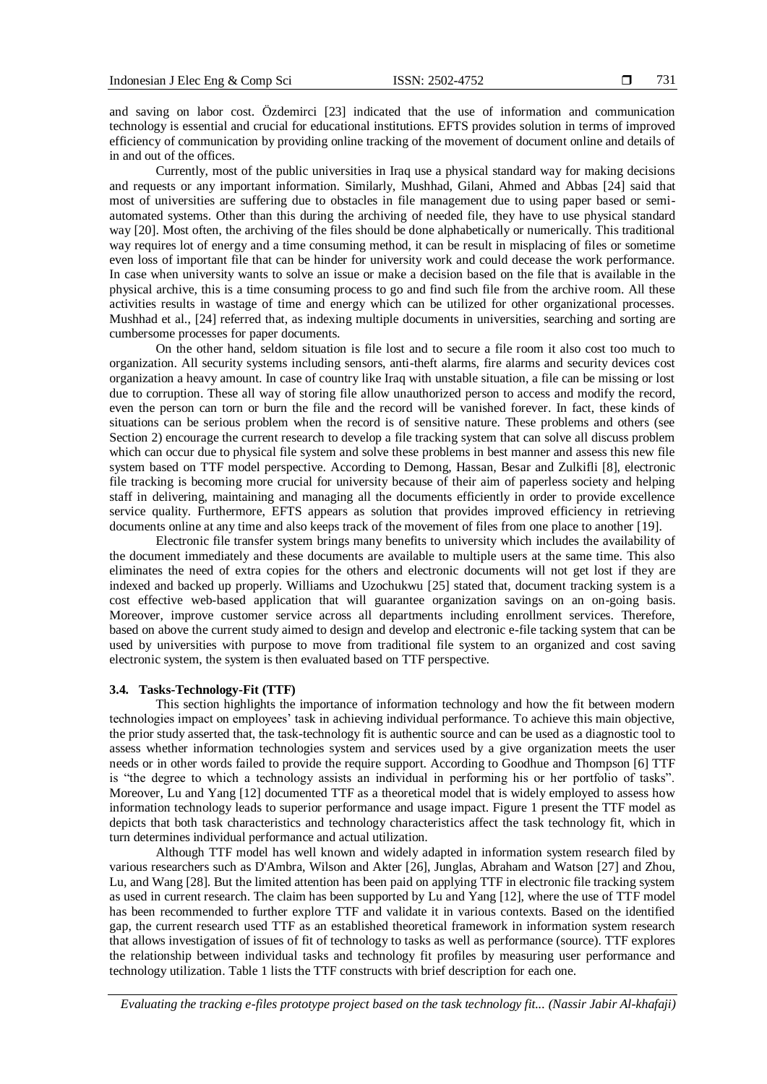and saving on labor cost. Özdemirci [23] indicated that the use of information and communication technology is essential and crucial for educational institutions. EFTS provides solution in terms of improved efficiency of communication by providing online tracking of the movement of document online and details of in and out of the offices.

Currently, most of the public universities in Iraq use a physical standard way for making decisions and requests or any important information. Similarly, Mushhad, Gilani, Ahmed and Abbas [24] said that most of universities are suffering due to obstacles in file management due to using paper based or semiautomated systems. Other than this during the archiving of needed file, they have to use physical standard way [20]. Most often, the archiving of the files should be done alphabetically or numerically. This traditional way requires lot of energy and a time consuming method, it can be result in misplacing of files or sometime even loss of important file that can be hinder for university work and could decease the work performance. In case when university wants to solve an issue or make a decision based on the file that is available in the physical archive, this is a time consuming process to go and find such file from the archive room. All these activities results in wastage of time and energy which can be utilized for other organizational processes. Mushhad et al., [24] referred that, as indexing multiple documents in universities, searching and sorting are cumbersome processes for paper documents.

On the other hand, seldom situation is file lost and to secure a file room it also cost too much to organization. All security systems including sensors, anti-theft alarms, fire alarms and security devices cost organization a heavy amount. In case of country like Iraq with unstable situation, a file can be missing or lost due to corruption. These all way of storing file allow unauthorized person to access and modify the record, even the person can torn or burn the file and the record will be vanished forever. In fact, these kinds of situations can be serious problem when the record is of sensitive nature. These problems and others (see Section 2) encourage the current research to develop a file tracking system that can solve all discuss problem which can occur due to physical file system and solve these problems in best manner and assess this new file system based on TTF model perspective. According to Demong, Hassan, Besar and Zulkifli [8], electronic file tracking is becoming more crucial for university because of their aim of paperless society and helping staff in delivering, maintaining and managing all the documents efficiently in order to provide excellence service quality. Furthermore, EFTS appears as solution that provides improved efficiency in retrieving documents online at any time and also keeps track of the movement of files from one place to another [19].

Electronic file transfer system brings many benefits to university which includes the availability of the document immediately and these documents are available to multiple users at the same time. This also eliminates the need of extra copies for the others and electronic documents will not get lost if they are indexed and backed up properly. Williams and Uzochukwu [25] stated that, document tracking system is a cost effective web-based application that will guarantee organization savings on an on-going basis. Moreover, improve customer service across all departments including enrollment services. Therefore, based on above the current study aimed to design and develop and electronic e-file tacking system that can be used by universities with purpose to move from traditional file system to an organized and cost saving electronic system, the system is then evaluated based on TTF perspective.

#### **3.4. Tasks-Technology-Fit (TTF)**

This section highlights the importance of information technology and how the fit between modern technologies impact on employees' task in achieving individual performance. To achieve this main objective, the prior study asserted that, the task-technology fit is authentic source and can be used as a diagnostic tool to assess whether information technologies system and services used by a give organization meets the user needs or in other words failed to provide the require support. According to Goodhue and Thompson [6] TTF is "the degree to which a technology assists an individual in performing his or her portfolio of tasks". Moreover, Lu and Yang [12] documented TTF as a theoretical model that is widely employed to assess how information technology leads to superior performance and usage impact. Figure 1 present the TTF model as depicts that both task characteristics and technology characteristics affect the task technology fit, which in turn determines individual performance and actual utilization.

Although TTF model has well known and widely adapted in information system research filed by various researchers such as D'Ambra, Wilson and Akter [26], Junglas, Abraham and Watson [27] and Zhou, Lu, and Wang [28]. But the limited attention has been paid on applying TTF in electronic file tracking system as used in current research. The claim has been supported by Lu and Yang [12], where the use of TTF model has been recommended to further explore TTF and validate it in various contexts. Based on the identified gap, the current research used TTF as an established theoretical framework in information system research that allows investigation of issues of fit of technology to tasks as well as performance (source). TTF explores the relationship between individual tasks and technology fit profiles by measuring user performance and technology utilization. Table 1 lists the TTF constructs with brief description for each one.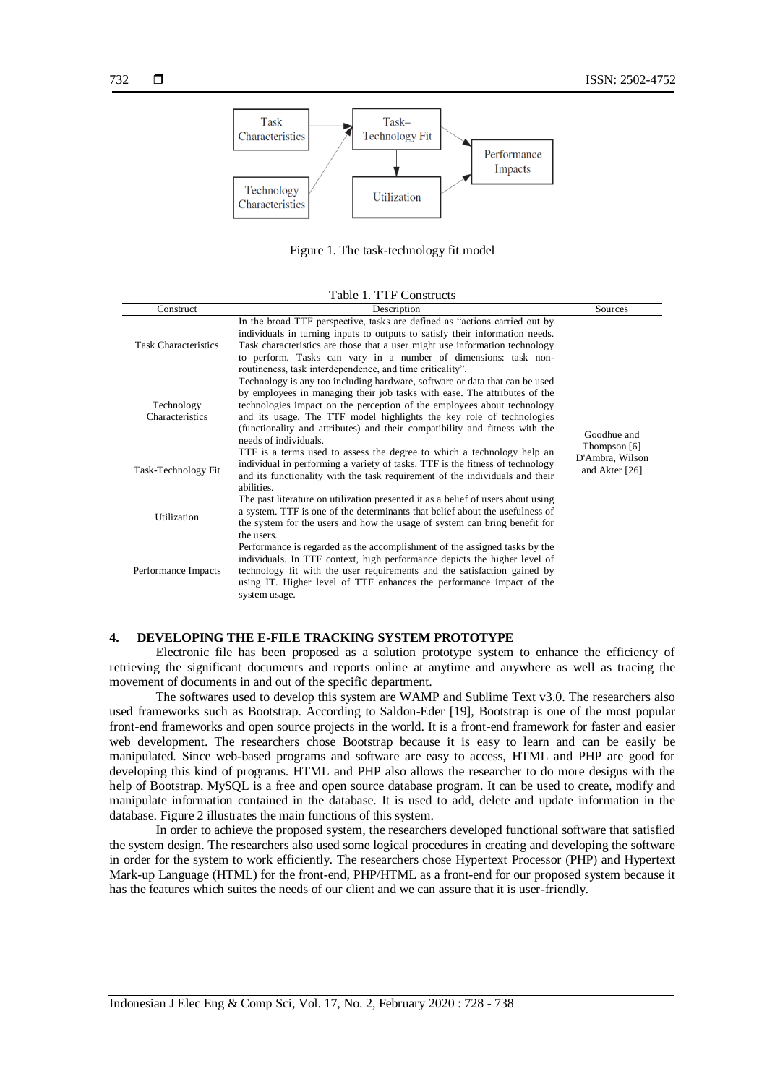

Figure 1. The task-technology fit model

#### Table 1. TTF Constructs

| Construct                     | Description                                                                                                                                                                                                                                                                                                                                                                                                                                              | Sources                           |
|-------------------------------|----------------------------------------------------------------------------------------------------------------------------------------------------------------------------------------------------------------------------------------------------------------------------------------------------------------------------------------------------------------------------------------------------------------------------------------------------------|-----------------------------------|
| <b>Task Characteristics</b>   | In the broad TTF perspective, tasks are defined as "actions carried out by<br>individuals in turning inputs to outputs to satisfy their information needs.<br>Task characteristics are those that a user might use information technology<br>to perform. Tasks can vary in a number of dimensions: task non-<br>routineness, task interdependence, and time criticality".<br>Technology is any too including hardware, software or data that can be used |                                   |
| Technology<br>Characteristics | by employees in managing their job tasks with ease. The attributes of the<br>technologies impact on the perception of the employees about technology<br>and its usage. The TTF model highlights the key role of technologies<br>(functionality and attributes) and their compatibility and fitness with the<br>needs of individuals.                                                                                                                     | Goodhue and<br>Thompson [6]       |
| Task-Technology Fit           | TTF is a terms used to assess the degree to which a technology help an<br>individual in performing a variety of tasks. TTF is the fitness of technology<br>and its functionality with the task requirement of the individuals and their<br>abilities.                                                                                                                                                                                                    | D'Ambra, Wilson<br>and Akter [26] |
| <b>Utilization</b>            | The past literature on utilization presented it as a belief of users about using<br>a system. TTF is one of the determinants that belief about the usefulness of<br>the system for the users and how the usage of system can bring benefit for<br>the users.                                                                                                                                                                                             |                                   |
| Performance Impacts           | Performance is regarded as the accomplishment of the assigned tasks by the<br>individuals. In TTF context, high performance depicts the higher level of<br>technology fit with the user requirements and the satisfaction gained by<br>using IT. Higher level of TTF enhances the performance impact of the<br>system usage.                                                                                                                             |                                   |

#### **4. DEVELOPING THE E-FILE TRACKING SYSTEM PROTOTYPE**

Electronic file has been proposed as a solution prototype system to enhance the efficiency of retrieving the significant documents and reports online at anytime and anywhere as well as tracing the movement of documents in and out of the specific department.

The softwares used to develop this system are WAMP and Sublime Text v3.0. The researchers also used frameworks such as Bootstrap. According to Saldon-Eder [19], Bootstrap is one of the most popular front-end frameworks and open source projects in the world. It is a front-end framework for faster and easier web development. The researchers chose Bootstrap because it is easy to learn and can be easily be manipulated. Since web-based programs and software are easy to access, HTML and PHP are good for developing this kind of programs. HTML and PHP also allows the researcher to do more designs with the help of Bootstrap. MySQL is a free and open source database program. It can be used to create, modify and manipulate information contained in the database. It is used to add, delete and update information in the database. Figure 2 illustrates the main functions of this system.

In order to achieve the proposed system, the researchers developed functional software that satisfied the system design. The researchers also used some logical procedures in creating and developing the software in order for the system to work efficiently. The researchers chose Hypertext Processor (PHP) and Hypertext Mark-up Language (HTML) for the front-end, PHP/HTML as a front-end for our proposed system because it has the features which suites the needs of our client and we can assure that it is user-friendly.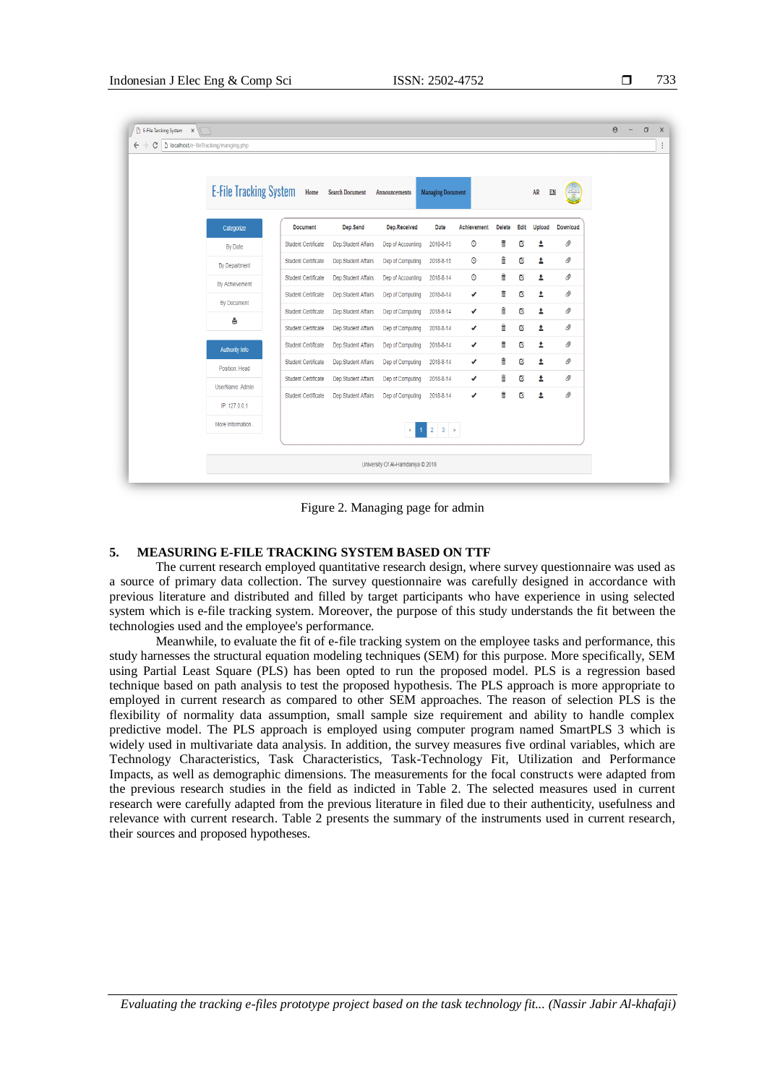| i<br>× |
|--------|
|        |

| <b>E-File Tracking System</b> | Home                       | Search Document     | Announcements     | <b>Managing Document</b> |             |               |      | $\mathtt{AR}$<br>EN     | $\frac{1}{\sqrt{\frac{2}{n}}}$ |  |
|-------------------------------|----------------------------|---------------------|-------------------|--------------------------|-------------|---------------|------|-------------------------|--------------------------------|--|
| Categorize                    | <b>Document</b>            | Dep.Send            | Dep.Received      | Date                     | Achievement | <b>Delete</b> | Edit | <b>Upload</b>           | Download                       |  |
| By Date                       | <b>Student Certificate</b> | Dep.Student Affairs | Dep of Accounting | 2018-8-15                | $\bullet$   | û             | Ø    | Δ                       | Ø)                             |  |
| By Department                 | Student Certificate        | Dep.Student Affairs | Dep of Computing  | 2018-8-15                | $\odot$     | û             | Ø    | Δ                       | Ø                              |  |
| By Achievement                | Student Certificate        | Dep.Student Affairs | Dep of Accounting | 2018-8-14                | $\odot$     | û             | Ø    | Δ                       | Ø.                             |  |
| By Document                   | Student Certificate        | Dep.Student Affairs | Dep of Computing  | 2018-8-14                | ✔           | û             | Ø    | Δ                       | Ø                              |  |
| A                             | <b>Student Certificate</b> | Dep.Student Affairs | Dep of Computing  | 2018-8-14                | ✔           | û             | Ø    | Ŧ                       | Ø                              |  |
|                               | <b>Student Certificate</b> | Dep.Student Affairs | Dep of Computing  | 2018-8-14                | ✔           | û             | Ø    | Δ                       | Ø                              |  |
| <b>Authority Info</b>         | <b>Student Certificate</b> | Dep.Student Affairs | Dep of Computing  | 2018-8-14                | ✔           | û             | Ø    | Δ                       | Ø                              |  |
| Position: Head                | <b>Student Certificate</b> | Dep.Student Affairs | Dep of Computing  | 2018-8-14                | ✔           | Ê             | Ø    | Δ                       | Ø                              |  |
| UserName: Admin               | Student Certificate        | Dep.Student Affairs | Dep of Computing  | 2018-8-14                | ✔           | û             | Ø    | Δ                       | Ø)                             |  |
| IP: 127.0.0.1                 | Student Certificate        | Dep.Student Affairs | Dep of Computing  | 2018-8-14                | v           | û             | Ø    | $\overline{\mathbf{r}}$ | Ø                              |  |
| More Information              |                            |                     | $\alpha$          | $1 \t2 \t3$              |             |               |      |                         |                                |  |

Figure 2. Managing page for admin

## **5. MEASURING E-FILE TRACKING SYSTEM BASED ON TTF**

The current research employed quantitative research design, where survey questionnaire was used as a source of primary data collection. The survey questionnaire was carefully designed in accordance with previous literature and distributed and filled by target participants who have experience in using selected system which is e-file tracking system. Moreover, the purpose of this study understands the fit between the technologies used and the employee's performance.

Meanwhile, to evaluate the fit of e-file tracking system on the employee tasks and performance, this study harnesses the structural equation modeling techniques (SEM) for this purpose. More specifically, SEM using Partial Least Square (PLS) has been opted to run the proposed model. PLS is a regression based technique based on path analysis to test the proposed hypothesis. The PLS approach is more appropriate to employed in current research as compared to other SEM approaches. The reason of selection PLS is the flexibility of normality data assumption, small sample size requirement and ability to handle complex predictive model. The PLS approach is employed using computer program named SmartPLS 3 which is widely used in multivariate data analysis. In addition, the survey measures five ordinal variables, which are Technology Characteristics, Task Characteristics, Task-Technology Fit, Utilization and Performance Impacts, as well as demographic dimensions. The measurements for the focal constructs were adapted from the previous research studies in the field as indicted in Table 2. The selected measures used in current research were carefully adapted from the previous literature in filed due to their authenticity, usefulness and relevance with current research. Table 2 presents the summary of the instruments used in current research, their sources and proposed hypotheses.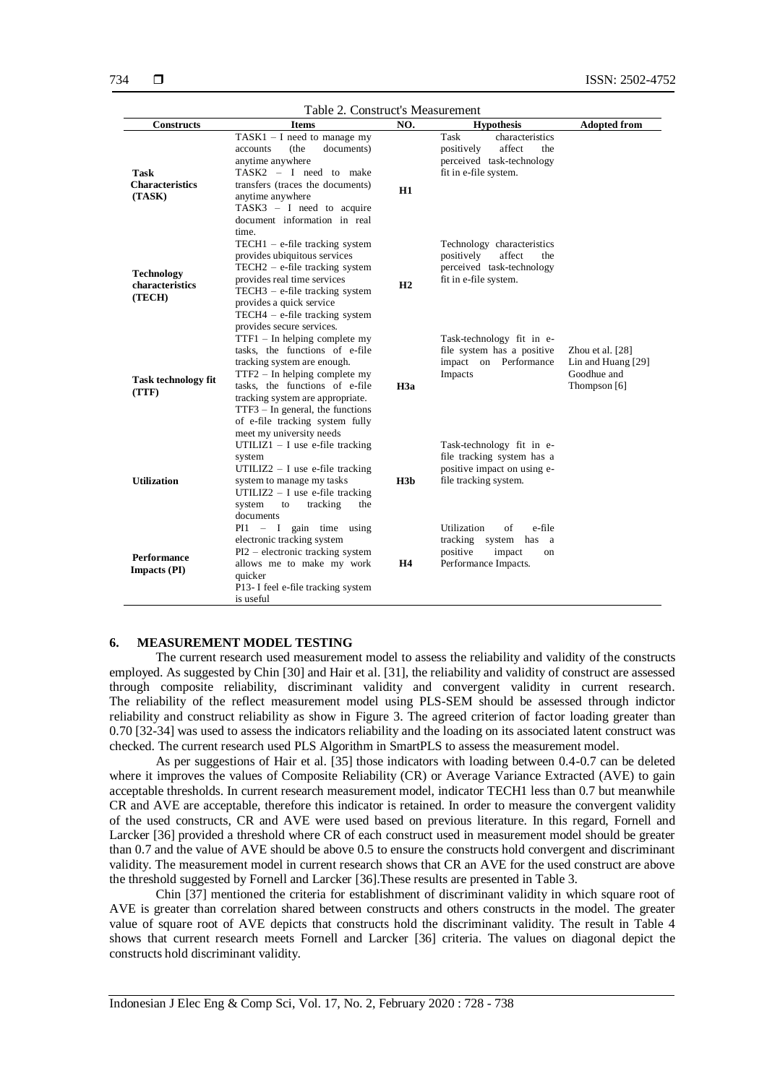| Table 2. Construct's Measurement                |                                                                                                                                                                                                                                                                                                                |                 |                                                                                                                     |                                                                         |  |  |
|-------------------------------------------------|----------------------------------------------------------------------------------------------------------------------------------------------------------------------------------------------------------------------------------------------------------------------------------------------------------------|-----------------|---------------------------------------------------------------------------------------------------------------------|-------------------------------------------------------------------------|--|--|
| <b>Constructs</b>                               | <b>Items</b>                                                                                                                                                                                                                                                                                                   | NO.             | <b>Hypothesis</b>                                                                                                   | <b>Adopted from</b>                                                     |  |  |
| <b>Task</b><br><b>Characteristics</b><br>(TASK) | $TASK1 - I$ need to manage my<br>documents)<br>(the<br>accounts<br>anytime anywhere<br>TASK2 - I need to make<br>transfers (traces the documents)<br>anytime anywhere<br>TASK3 $-$ I need to acquire<br>document information in real<br>time.                                                                  | H1              | Task<br>characteristics<br>positively<br>affect<br>the<br>perceived task-technology<br>fit in e-file system.        |                                                                         |  |  |
| <b>Technology</b><br>characteristics<br>(TECH)  | $TECH1 - e$ -file tracking system<br>provides ubiquitous services<br>$TECH2 - e$ -file tracking system<br>provides real time services<br>$TECH3 - e$ -file tracking system<br>provides a quick service<br>$TECH4 - e$ -file tracking system<br>provides secure services.                                       | H2              | Technology characteristics<br>positively<br>affect<br>the<br>perceived task-technology<br>fit in e-file system.     |                                                                         |  |  |
| <b>Task technology fit</b><br>(TTF)             | $TTF1 - In helping complete my$<br>tasks, the functions of e-file<br>tracking system are enough.<br>$TTF2 - In helping complete my$<br>tasks, the functions of e-file<br>tracking system are appropriate.<br>$TTF3 - In general, the functions$<br>of e-file tracking system fully<br>meet my university needs | H3a             | Task-technology fit in e-<br>file system has a positive<br>impact on Performance<br>Impacts                         | Zhou et al. $[28]$<br>Lin and Huang [29]<br>Goodhue and<br>Thompson [6] |  |  |
| <b>Utilization</b>                              | UTILIZ1 - I use e-file tracking<br>system<br>UTILIZ2 $-$ I use e-file tracking<br>system to manage my tasks<br>UTILIZ2 $-$ I use e-file tracking<br>system<br>tracking<br>to<br>the<br>documents                                                                                                               | H3 <sub>b</sub> | Task-technology fit in e-<br>file tracking system has a<br>positive impact on using e-<br>file tracking system.     |                                                                         |  |  |
| <b>Performance</b><br><b>Impacts (PI)</b>       | $PI1 - I$ gain time using<br>electronic tracking system<br>PI2 – electronic tracking system<br>allows me to make my work<br>quicker<br>P13- I feel e-file tracking system<br>is useful                                                                                                                         | <b>H4</b>       | Utilization<br>e-file<br>οf<br>tracking system has a<br>positive<br>impact<br><sub>on</sub><br>Performance Impacts. |                                                                         |  |  |

#### **6. MEASUREMENT MODEL TESTING**

The current research used measurement model to assess the reliability and validity of the constructs employed. As suggested by Chin [30] and Hair et al. [31], the reliability and validity of construct are assessed through composite reliability, discriminant validity and convergent validity in current research. The reliability of the reflect measurement model using PLS-SEM should be assessed through indictor reliability and construct reliability as show in Figure 3. The agreed criterion of factor loading greater than 0.70 [32-34] was used to assess the indicators reliability and the loading on its associated latent construct was checked. The current research used PLS Algorithm in SmartPLS to assess the measurement model.

As per suggestions of Hair et al. [35] those indicators with loading between 0.4-0.7 can be deleted where it improves the values of Composite Reliability (CR) or Average Variance Extracted (AVE) to gain acceptable thresholds. In current research measurement model, indicator TECH1 less than 0.7 but meanwhile CR and AVE are acceptable, therefore this indicator is retained. In order to measure the convergent validity of the used constructs, CR and AVE were used based on previous literature. In this regard, Fornell and Larcker [36] provided a threshold where CR of each construct used in measurement model should be greater than 0.7 and the value of AVE should be above 0.5 to ensure the constructs hold convergent and discriminant validity. The measurement model in current research shows that CR an AVE for the used construct are above the threshold suggested by Fornell and Larcker [36].These results are presented in Table 3.

Chin [37] mentioned the criteria for establishment of discriminant validity in which square root of AVE is greater than correlation shared between constructs and others constructs in the model. The greater value of square root of AVE depicts that constructs hold the discriminant validity. The result in Table 4 shows that current research meets Fornell and Larcker [36] criteria. The values on diagonal depict the constructs hold discriminant validity.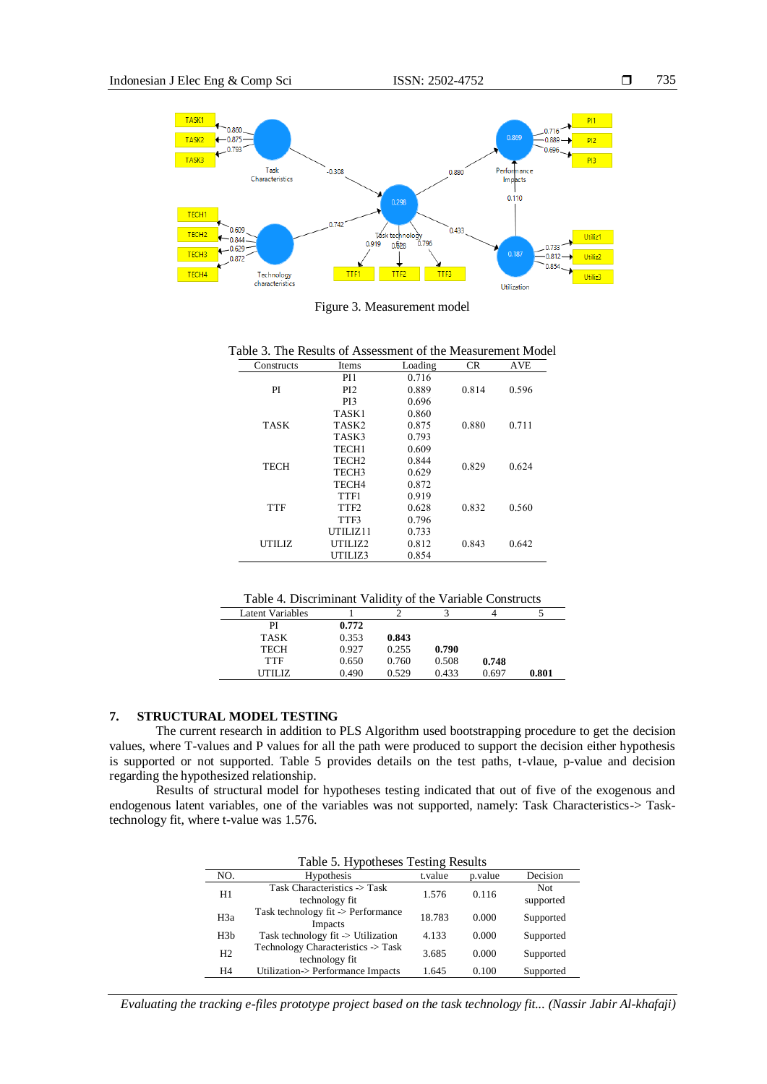

Figure 3. Measurement model

| able 3. The Results of Assessment of the Measurement Mode |                   |         |           |       |
|-----------------------------------------------------------|-------------------|---------|-----------|-------|
| Constructs                                                | Items             | Loading | <b>CR</b> | AVE   |
|                                                           | PI <sub>1</sub>   | 0.716   |           |       |
| PI                                                        | PI <sub>2</sub>   | 0.889   | 0.814     | 0.596 |
|                                                           | PI3               | 0.696   |           |       |
|                                                           | TASK1             | 0.860   |           |       |
| TASK                                                      | TASK2             | 0.875   | 0.880     | 0.711 |
|                                                           | TASK3             | 0.793   |           |       |
|                                                           | TECH <sub>1</sub> | 0.609   |           |       |
| <b>TECH</b>                                               | TECH <sub>2</sub> | 0.844   | 0.829     | 0.624 |
|                                                           | TECH3             | 0.629   |           |       |
|                                                           | TECH4             | 0.872   |           |       |
|                                                           | TTF1              | 0.919   |           |       |
| <b>TTF</b>                                                | TTF2              | 0.628   | 0.832     | 0.560 |
|                                                           | TTF3              | 0.796   |           |       |
|                                                           | UTILIZ11          | 0.733   |           |       |
| UTILIZ.                                                   | UTILIZ2           | 0.812   | 0.843     | 0.642 |
|                                                           | UTILIZ3           | 0.854   |           |       |

Table 3. The Results of Assessment of the Measurement Model

|  | Table 4. Discriminant Validity of the Variable Constructs |
|--|-----------------------------------------------------------|
|--|-----------------------------------------------------------|

| 0.772 |       |       |       |       |
|-------|-------|-------|-------|-------|
| 0.353 | 0.843 |       |       |       |
| 0.927 | 0.255 | 0.790 |       |       |
| 0.650 | 0.760 | 0.508 | 0.748 |       |
| 0.490 | 0.529 | 0.433 | 0.697 | 0.801 |
|       |       |       |       |       |

## **7. STRUCTURAL MODEL TESTING**

The current research in addition to PLS Algorithm used bootstrapping procedure to get the decision values, where T-values and P values for all the path were produced to support the decision either hypothesis is supported or not supported. Table 5 provides details on the test paths, t-vlaue, p-value and decision regarding the hypothesized relationship.

Results of structural model for hypotheses testing indicated that out of five of the exogenous and endogenous latent variables, one of the variables was not supported, namely: Task Characteristics-> Tasktechnology fit, where t-value was 1.576.

| Table 5. Hypotheses Testing Results |                                                      |         |         |                   |  |  |  |
|-------------------------------------|------------------------------------------------------|---------|---------|-------------------|--|--|--|
| NO.                                 | <b>Hypothesis</b>                                    | t.value | p.value | Decision          |  |  |  |
| H1                                  | Task Characteristics -> Task<br>technology fit       | 1.576   | 0.116   | Not.<br>supported |  |  |  |
| H <sub>3</sub> a                    | Task technology fit -> Performance<br>Impacts        | 18.783  | 0.000   | Supported         |  |  |  |
| H3h                                 | Task technology fit $\rightarrow$ Utilization        | 4.133   | 0.000   | Supported         |  |  |  |
| H <sub>2</sub>                      | Technology Characteristics -> Task<br>technology fit | 3.685   | 0.000   | Supported         |  |  |  |
| H <sub>4</sub>                      | Utilization-> Performance Impacts                    | 1.645   | 0.100   | Supported         |  |  |  |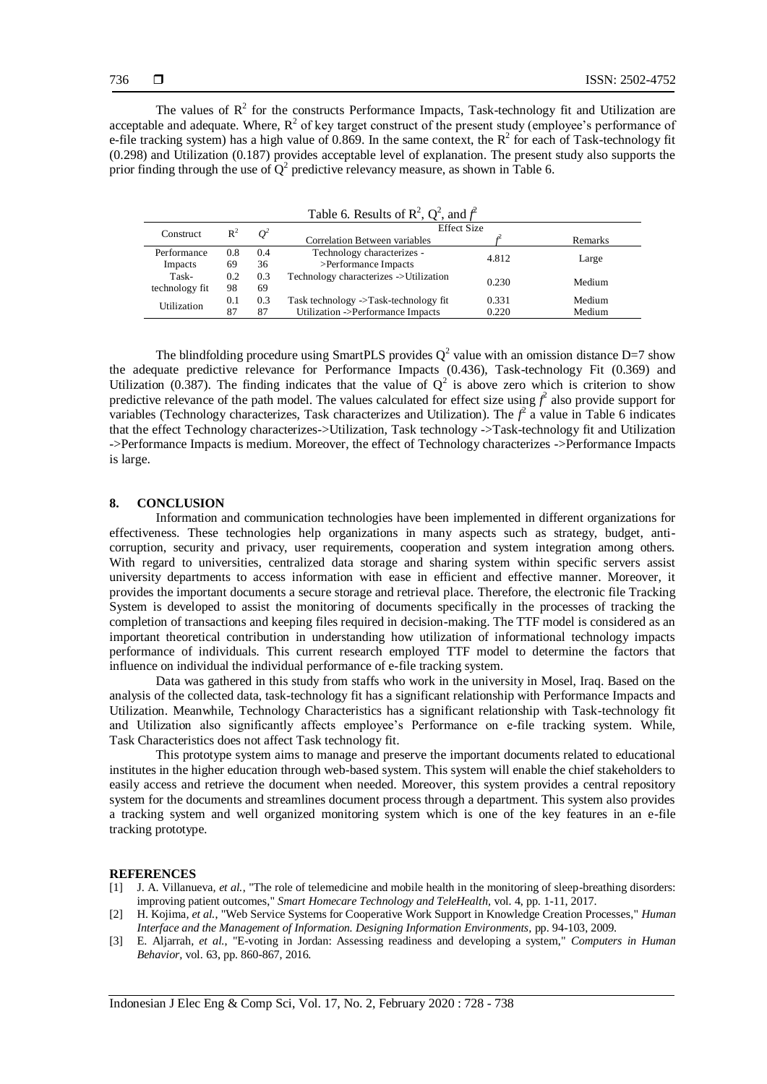The values of  $R^2$  for the constructs Performance Impacts, Task-technology fit and Utilization are acceptable and adequate. Where,  $R^2$  of key target construct of the present study (employee's performance of e-file tracking system) has a high value of 0.869. In the same context, the  $R^2$  for each of Task-technology fit (0.298) and Utilization (0.187) provides acceptable level of explanation. The present study also supports the prior finding through the use of  $Q^2$  predictive relevancy measure, as shown in Table 6.

| Table 6. Results of $\mathbb{R}^2$ , $\mathbb{Q}^2$ , and $f^2$ |                |       |                                         |                    |         |  |  |  |
|-----------------------------------------------------------------|----------------|-------|-----------------------------------------|--------------------|---------|--|--|--|
| <b>Construct</b>                                                | $\mathbb{R}^2$ | $O^2$ |                                         | <b>Effect Size</b> |         |  |  |  |
|                                                                 |                |       | Correlation Between variables           |                    | Remarks |  |  |  |
| Performance                                                     | 0.8            | 0.4   | Technology characterizes -              | 4.812              |         |  |  |  |
| Impacts                                                         | 69             | 36    | >Performance Impacts                    |                    | Large   |  |  |  |
| Task-                                                           | 0.2            | 0.3   | Technology characterizes -> Utilization | 0.230              | Medium  |  |  |  |
| technology fit                                                  | 98             | 69    |                                         |                    |         |  |  |  |
| Utilization                                                     | 0.1            | 0.3   | Task technology ->Task-technology fit   | 0.331              | Medium  |  |  |  |
|                                                                 | 87             | 87    | Utilization ->Performance Impacts       | 0.220              | Medium  |  |  |  |

The blindfolding procedure using SmartPLS provides  $Q^2$  value with an omission distance D=7 show the adequate predictive relevance for Performance Impacts (0.436), Task-technology Fit (0.369) and Utilization (0.387). The finding indicates that the value of  $Q^2$  is above zero which is criterion to show predictive relevance of the path model. The values calculated for effect size using  $f^2$  also provide support for variables (Technology characterizes, Task characterizes and Utilization). The  $f^2$  a value in Table 6 indicates that the effect Technology characterizes->Utilization, Task technology ->Task-technology fit and Utilization ->Performance Impacts is medium. Moreover, the effect of Technology characterizes ->Performance Impacts is large.

#### **8. CONCLUSION**

Information and communication technologies have been implemented in different organizations for effectiveness. These technologies help organizations in many aspects such as strategy, budget, anticorruption, security and privacy, user requirements, cooperation and system integration among others. With regard to universities, centralized data storage and sharing system within specific servers assist university departments to access information with ease in efficient and effective manner. Moreover, it provides the important documents a secure storage and retrieval place. Therefore, the electronic file Tracking System is developed to assist the monitoring of documents specifically in the processes of tracking the completion of transactions and keeping files required in decision-making. The TTF model is considered as an important theoretical contribution in understanding how utilization of informational technology impacts performance of individuals. This current research employed TTF model to determine the factors that influence on individual the individual performance of e-file tracking system.

Data was gathered in this study from staffs who work in the university in Mosel, Iraq. Based on the analysis of the collected data, task-technology fit has a significant relationship with Performance Impacts and Utilization. Meanwhile, Technology Characteristics has a significant relationship with Task-technology fit and Utilization also significantly affects employee's Performance on e-file tracking system. While, Task Characteristics does not affect Task technology fit.

This prototype system aims to manage and preserve the important documents related to educational institutes in the higher education through web-based system. This system will enable the chief stakeholders to easily access and retrieve the document when needed. Moreover, this system provides a central repository system for the documents and streamlines document process through a department. This system also provides a tracking system and well organized monitoring system which is one of the key features in an e-file tracking prototype.

#### **REFERENCES**

- [1] J. A. Villanueva*, et al.*, "The role of telemedicine and mobile health in the monitoring of sleep-breathing disorders: improving patient outcomes," *Smart Homecare Technology and TeleHealth,* vol. 4, pp. 1-11, 2017.
- [2] H. Kojima*, et al.*, "Web Service Systems for Cooperative Work Support in Knowledge Creation Processes," *Human Interface and the Management of Information. Designing Information Environments,* pp. 94-103, 2009.
- [3] E. Aljarrah*, et al.*, "E-voting in Jordan: Assessing readiness and developing a system," *Computers in Human Behavior,* vol. 63, pp. 860-867, 2016.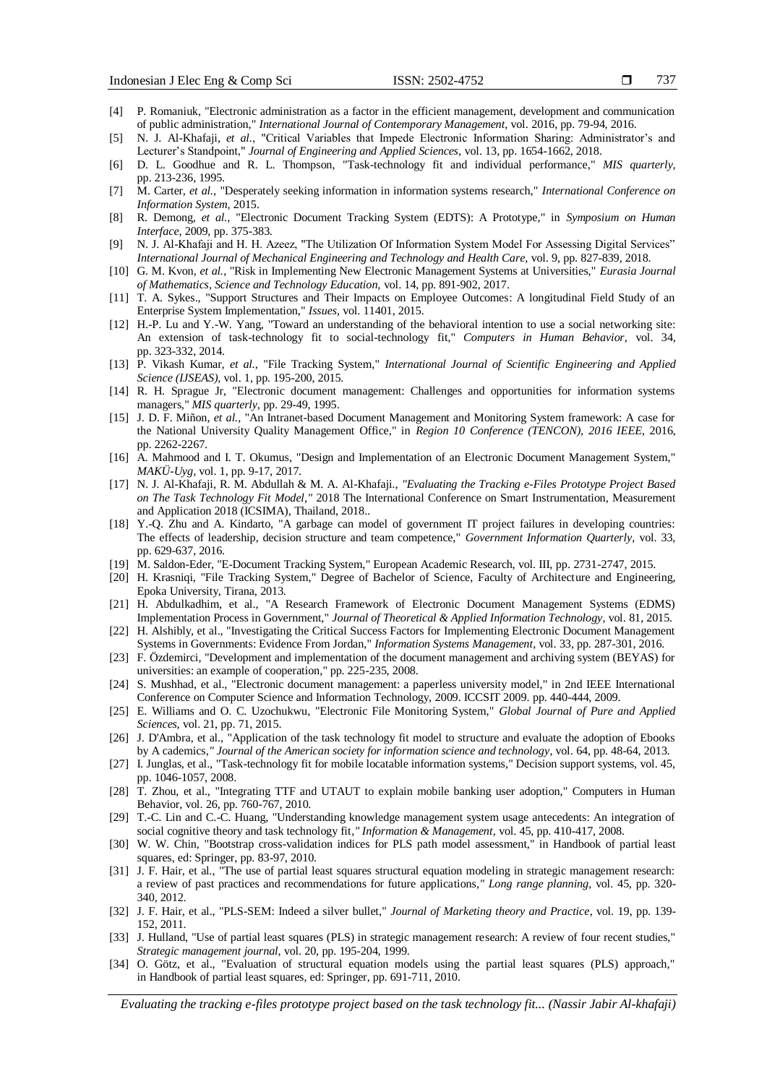- [4] P. Romaniuk, "Electronic administration as a factor in the efficient management, development and communication of public administration," *International Journal of Contemporary Management,* vol. 2016, pp. 79-94, 2016.
- [5] N. J. Al-Khafaji*, et al.*, "Critical Variables that Impede Electronic Information Sharing: Administrator's and Lecturer's Standpoint," *Journal of Engineering and Applied Sciences,* vol. 13, pp. 1654-1662, 2018.
- [6] D. L. Goodhue and R. L. Thompson, "Task-technology fit and individual performance," *MIS quarterly,*  pp. 213-236, 1995.
- [7] M. Carter*, et al.*, "Desperately seeking information in information systems research," *International Conference on Information System,* 2015.
- [8] R. Demong*, et al.*, "Electronic Document Tracking System (EDTS): A Prototype," in *Symposium on Human Interface*, 2009, pp. 375-383.
- [9] N. J. Al-Khafaji and H. H. Azeez, "The Utilization Of Information System Model For Assessing Digital Services" *International Journal of Mechanical Engineering and Technology and Health Care,* vol. 9, pp. 827-839, 2018.
- [10] G. M. Kvon*, et al.*, "Risk in Implementing New Electronic Management Systems at Universities," *Eurasia Journal of Mathematics, Science and Technology Education,* vol. 14, pp. 891-902, 2017.
- [11] T. A. Sykes., "Support Structures and Their Impacts on Employee Outcomes: A longitudinal Field Study of an Enterprise System Implementation," *Issues,* vol. 11401, 2015.
- [12] H.-P. Lu and Y.-W. Yang, "Toward an understanding of the behavioral intention to use a social networking site: An extension of task-technology fit to social-technology fit," *Computers in Human Behavior,* vol. 34, pp. 323-332, 2014.
- [13] P. Vikash Kumar*, et al.*, "File Tracking System," *International Journal of Scientific Engineering and Applied Science (IJSEAS),* vol. 1, pp. 195-200, 2015.
- [14] R. H. Sprague Jr, "Electronic document management: Challenges and opportunities for information systems managers," *MIS quarterly,* pp. 29-49, 1995.
- [15] J. D. F. Miñon*, et al.*, "An Intranet-based Document Management and Monitoring System framework: A case for the National University Quality Management Office," in *Region 10 Conference (TENCON), 2016 IEEE*, 2016, pp. 2262-2267.
- [16] A. Mahmood and I. T. Okumus, "Design and Implementation of an Electronic Document Management System," *MAKÜ-Uyg,* vol. 1, pp. 9-17, 2017.
- [17] N. J. Al-Khafaji, R. M. Abdullah & M. A. Al-Khafaji*., "Evaluating the Tracking e-Files Prototype Project Based on The Task Technology Fit Model,"* 2018 The International Conference on Smart Instrumentation, Measurement and Application 2018 (ICSIMA), Thailand, 2018..
- [18] Y.-Q. Zhu and A. Kindarto, "A garbage can model of government IT project failures in developing countries: The effects of leadership, decision structure and team competence," *Government Information Quarterly*, vol. 33, pp. 629-637, 2016.
- [19] M. Saldon-Eder, "E-Document Tracking System," European Academic Research, vol. III, pp. 2731-2747, 2015.
- [20] H. Krasniqi, "File Tracking System," Degree of Bachelor of Science, Faculty of Architecture and Engineering, Epoka University, Tirana, 2013.
- [21] H. Abdulkadhim, et al., "A Research Framework of Electronic Document Management Systems (EDMS) Implementation Process in Government," *Journal of Theoretical & Applied Information Technology*, vol. 81, 2015.
- [22] H. Alshibly, et al., "Investigating the Critical Success Factors for Implementing Electronic Document Management Systems in Governments: Evidence From Jordan," *Information Systems Management*, vol. 33, pp. 287-301, 2016.
- [23] F. Özdemirci, "Development and implementation of the document management and archiving system (BEYAS) for universities: an example of cooperation," pp. 225-235, 2008.
- [24] S. Mushhad, et al., "Electronic document management: a paperless university model," in 2nd IEEE International Conference on Computer Science and Information Technology, 2009. ICCSIT 2009. pp. 440-444, 2009.
- [25] E. Williams and O. C. Uzochukwu, "Electronic File Monitoring System," *Global Journal of Pure and Applied Sciences*, vol. 21, pp. 71, 2015.
- [26] J. D'Ambra, et al., "Application of the task technology fit model to structure and evaluate the adoption of Ebooks by A cademics*," Journal of the American society for information science and technology*, vol. 64, pp. 48-64, 2013.
- [27] I. Junglas, et al., "Task-technology fit for mobile locatable information systems," Decision support systems, vol. 45, pp. 1046-1057, 2008.
- [28] T. Zhou, et al., "Integrating TTF and UTAUT to explain mobile banking user adoption," Computers in Human Behavior, vol. 26, pp. 760-767, 2010.
- [29] T.-C. Lin and C.-C. Huang, "Understanding knowledge management system usage antecedents: An integration of social cognitive theory and task technology fit*," Information & Management*, vol. 45, pp. 410-417, 2008.
- [30] W. W. Chin, "Bootstrap cross-validation indices for PLS path model assessment," in Handbook of partial least squares, ed: Springer, pp. 83-97, 2010.
- [31] J. F. Hair, et al., "The use of partial least squares structural equation modeling in strategic management research: a review of past practices and recommendations for future applications*," Long range planning*, vol. 45, pp. 320- 340, 2012.
- [32] J. F. Hair, et al., "PLS-SEM: Indeed a silver bullet," *Journal of Marketing theory and Practice*, vol. 19, pp. 139- 152, 2011.
- [33] J. Hulland, "Use of partial least squares (PLS) in strategic management research: A review of four recent studies," *Strategic management journal*, vol. 20, pp. 195-204, 1999.
- [34] O. Götz, et al., "Evaluation of structural equation models using the partial least squares (PLS) approach," in Handbook of partial least squares, ed: Springer, pp. 691-711, 2010.